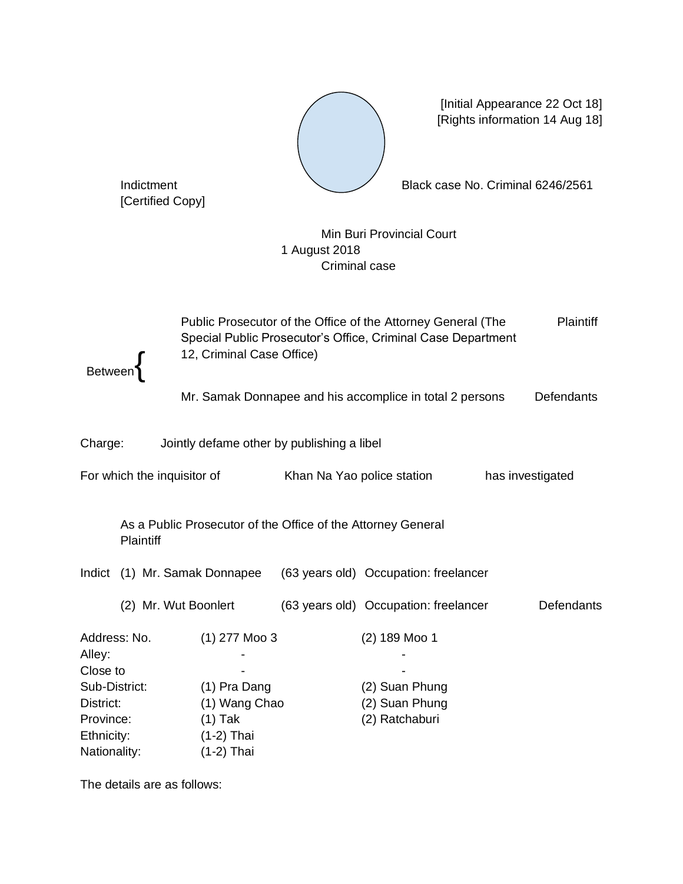

[Initial Appearance 22 Oct 18] [Rights information 14 Aug 18]

Indictment Black case No. Criminal 6246/2561

[Certified Copy]

Min Buri Provincial Court 1 August 2018 Criminal case

Between{ Public Prosecutor of the Office of the Attorney General (The Special Public Prosecutor's Office, Criminal Case Department 12, Criminal Case Office) Plaintiff Mr. Samak Donnapee and his accomplice in total 2 persons Defendants Charge: Jointly defame other by publishing a libel For which the inquisitor of Khan Na Yao police station has investigated As a Public Prosecutor of the Office of the Attorney General **Plaintiff** Indict (1) Mr. Samak Donnapee (63 years old) Occupation: freelancer (2) Mr. Wut Boonlert (63 years old) Occupation: freelancer Defendants Address: No. (1) 277 Moo 3 (2) 189 Moo 1 Alley: - - Close to Sub-District: (1) Pra Dang (2) Suan Phung District: (1) Wang Chao (2) Suan Phung Province: (1) Tak (2) Ratchaburi Ethnicity: (1-2) Thai Nationality: (1-2) Thai

The details are as follows: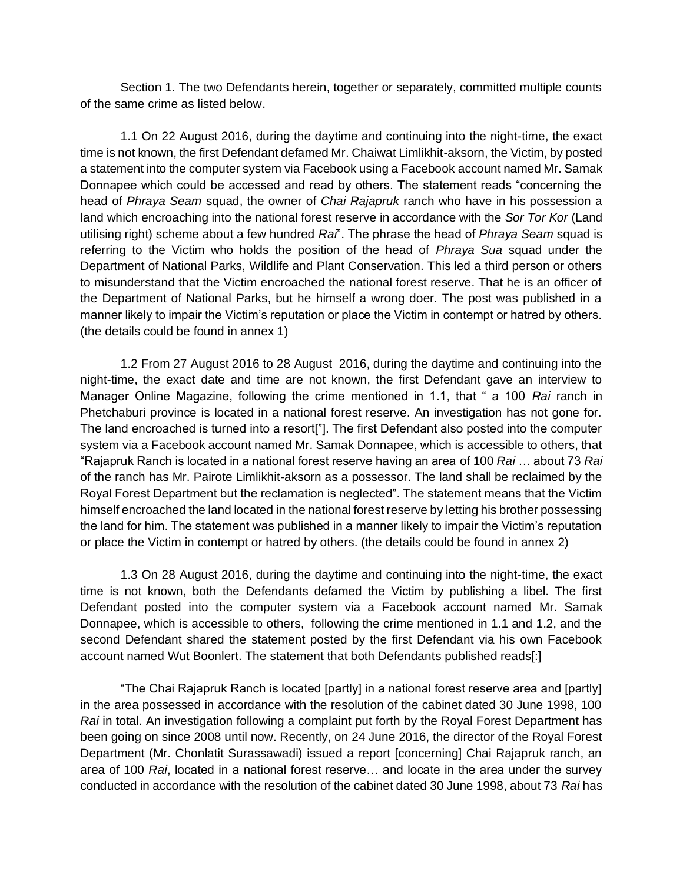Section 1. The two Defendants herein, together or separately, committed multiple counts of the same crime as listed below.

1.1 On 22 August 2016, during the daytime and continuing into the night-time, the exact time is not known, the first Defendant defamed Mr. Chaiwat Limlikhit-aksorn, the Victim, by posted a statement into the computer system via Facebook using a Facebook account named Mr. Samak Donnapee which could be accessed and read by others. The statement reads "concerning the head of *Phraya Seam* squad, the owner of *Chai Rajapruk* ranch who have in his possession a land which encroaching into the national forest reserve in accordance with the *Sor Tor Kor* (Land utilising right) scheme about a few hundred *Rai*". The phrase the head of *Phraya Seam* squad is referring to the Victim who holds the position of the head of *Phraya Sua* squad under the Department of National Parks, Wildlife and Plant Conservation. This led a third person or others to misunderstand that the Victim encroached the national forest reserve. That he is an officer of the Department of National Parks, but he himself a wrong doer. The post was published in a manner likely to impair the Victim's reputation or place the Victim in contempt or hatred by others. (the details could be found in annex 1)

1.2 From 27 August 2016 to 28 August 2016, during the daytime and continuing into the night-time, the exact date and time are not known, the first Defendant gave an interview to Manager Online Magazine, following the crime mentioned in 1.1, that " a 100 *Rai* ranch in Phetchaburi province is located in a national forest reserve. An investigation has not gone for. The land encroached is turned into a resort["]. The first Defendant also posted into the computer system via a Facebook account named Mr. Samak Donnapee, which is accessible to others, that "Rajapruk Ranch is located in a national forest reserve having an area of 100 *Rai* … about 73 *Rai*  of the ranch has Mr. Pairote Limlikhit-aksorn as a possessor. The land shall be reclaimed by the Royal Forest Department but the reclamation is neglected". The statement means that the Victim himself encroached the land located in the national forest reserve by letting his brother possessing the land for him. The statement was published in a manner likely to impair the Victim's reputation or place the Victim in contempt or hatred by others. (the details could be found in annex 2)

1.3 On 28 August 2016, during the daytime and continuing into the night-time, the exact time is not known, both the Defendants defamed the Victim by publishing a libel. The first Defendant posted into the computer system via a Facebook account named Mr. Samak Donnapee, which is accessible to others, following the crime mentioned in 1.1 and 1.2, and the second Defendant shared the statement posted by the first Defendant via his own Facebook account named Wut Boonlert. The statement that both Defendants published reads[:]

"The Chai Rajapruk Ranch is located [partly] in a national forest reserve area and [partly] in the area possessed in accordance with the resolution of the cabinet dated 30 June 1998, 100 *Rai* in total. An investigation following a complaint put forth by the Royal Forest Department has been going on since 2008 until now. Recently, on 24 June 2016, the director of the Royal Forest Department (Mr. Chonlatit Surassawadi) issued a report [concerning] Chai Rajapruk ranch, an area of 100 *Rai*, located in a national forest reserve… and locate in the area under the survey conducted in accordance with the resolution of the cabinet dated 30 June 1998, about 73 *Rai* has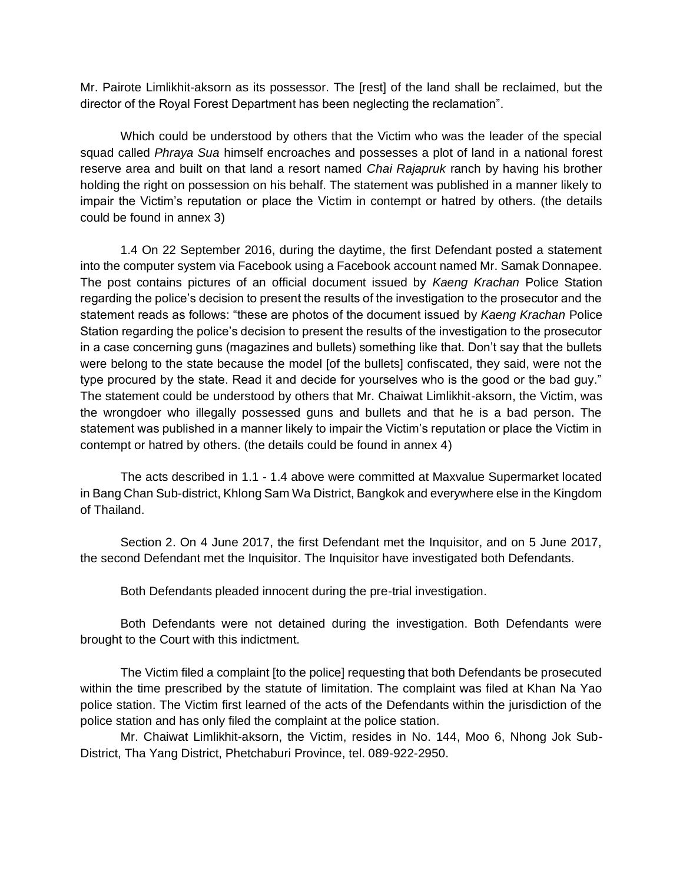Mr. Pairote Limlikhit-aksorn as its possessor. The [rest] of the land shall be reclaimed, but the director of the Royal Forest Department has been neglecting the reclamation".

Which could be understood by others that the Victim who was the leader of the special squad called *Phraya Sua* himself encroaches and possesses a plot of land in a national forest reserve area and built on that land a resort named *Chai Rajapruk* ranch by having his brother holding the right on possession on his behalf. The statement was published in a manner likely to impair the Victim's reputation or place the Victim in contempt or hatred by others. (the details could be found in annex 3)

1.4 On 22 September 2016, during the daytime, the first Defendant posted a statement into the computer system via Facebook using a Facebook account named Mr. Samak Donnapee. The post contains pictures of an official document issued by *Kaeng Krachan* Police Station regarding the police's decision to present the results of the investigation to the prosecutor and the statement reads as follows: "these are photos of the document issued by *Kaeng Krachan* Police Station regarding the police's decision to present the results of the investigation to the prosecutor in a case concerning guns (magazines and bullets) something like that. Don't say that the bullets were belong to the state because the model [of the bullets] confiscated, they said, were not the type procured by the state. Read it and decide for yourselves who is the good or the bad guy." The statement could be understood by others that Mr. Chaiwat Limlikhit-aksorn, the Victim, was the wrongdoer who illegally possessed guns and bullets and that he is a bad person. The statement was published in a manner likely to impair the Victim's reputation or place the Victim in contempt or hatred by others. (the details could be found in annex 4)

The acts described in 1.1 - 1.4 above were committed at Maxvalue Supermarket located in Bang Chan Sub-district, Khlong Sam Wa District, Bangkok and everywhere else in the Kingdom of Thailand.

Section 2. On 4 June 2017, the first Defendant met the Inquisitor, and on 5 June 2017, the second Defendant met the Inquisitor. The Inquisitor have investigated both Defendants.

Both Defendants pleaded innocent during the pre-trial investigation.

Both Defendants were not detained during the investigation. Both Defendants were brought to the Court with this indictment.

The Victim filed a complaint [to the police] requesting that both Defendants be prosecuted within the time prescribed by the statute of limitation. The complaint was filed at Khan Na Yao police station. The Victim first learned of the acts of the Defendants within the jurisdiction of the police station and has only filed the complaint at the police station.

Mr. Chaiwat Limlikhit-aksorn, the Victim, resides in No. 144, Moo 6, Nhong Jok Sub-District, Tha Yang District, Phetchaburi Province, tel. 089-922-2950.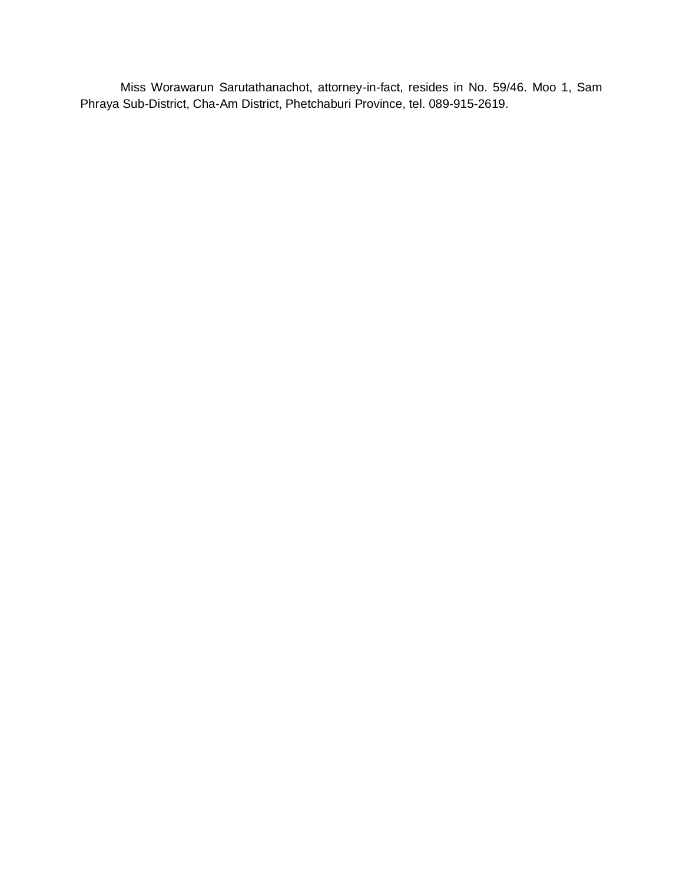Miss Worawarun Sarutathanachot, attorney-in-fact, resides in No. 59/46. Moo 1, Sam Phraya Sub-District, Cha-Am District, Phetchaburi Province, tel. 089-915-2619.